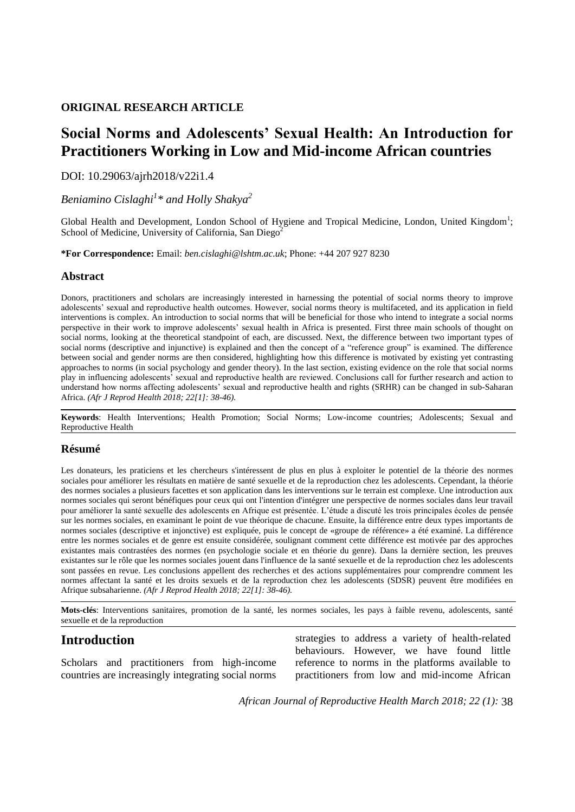#### **ORIGINAL RESEARCH ARTICLE**

# **Social Norms and Adolescents' Sexual Health: An Introduction for Practitioners Working in Low and Mid-income African countries**

DOI: 10.29063/ajrh2018/v22i1.4

*Beniamino Cislaghi<sup>1</sup> \* and Holly Shakya<sup>2</sup>*

Global Health and Development, London School of Hygiene and Tropical Medicine, London, United Kingdom<sup>1</sup>; School of Medicine, University of California, San Diego<sup>2</sup>

**\*For Correspondence:** Email: *ben.cislaghi@lshtm.ac.uk*; Phone: +44 207 927 8230

#### **Abstract**

Donors, practitioners and scholars are increasingly interested in harnessing the potential of social norms theory to improve adolescents' sexual and reproductive health outcomes. However, social norms theory is multifaceted, and its application in field interventions is complex. An introduction to social norms that will be beneficial for those who intend to integrate a social norms perspective in their work to improve adolescents' sexual health in Africa is presented. First three main schools of thought on social norms, looking at the theoretical standpoint of each, are discussed. Next, the difference between two important types of social norms (descriptive and injunctive) is explained and then the concept of a "reference group" is examined. The difference between social and gender norms are then considered, highlighting how this difference is motivated by existing yet contrasting approaches to norms (in social psychology and gender theory). In the last section, existing evidence on the role that social norms play in influencing adolescents' sexual and reproductive health are reviewed. Conclusions call for further research and action to understand how norms affecting adolescents' sexual and reproductive health and rights (SRHR) can be changed in sub-Saharan Africa. *(Afr J Reprod Health 2018; 22[1]: 38-46).*

**Keywords**: Health Interventions; Health Promotion; Social Norms; Low-income countries; Adolescents; Sexual and Reproductive Health

#### **Résumé**

Les donateurs, les praticiens et les chercheurs s'intéressent de plus en plus à exploiter le potentiel de la théorie des normes sociales pour améliorer les résultats en matière de santé sexuelle et de la reproduction chez les adolescents. Cependant, la théorie des normes sociales a plusieurs facettes et son application dans les interventions sur le terrain est complexe. Une introduction aux normes sociales qui seront bénéfiques pour ceux qui ont l'intention d'intégrer une perspective de normes sociales dans leur travail pour améliorer la santé sexuelle des adolescents en Afrique est présentée. L'étude a discuté les trois principales écoles de pensée sur les normes sociales, en examinant le point de vue théorique de chacune. Ensuite, la différence entre deux types importants de normes sociales (descriptive et injonctive) est expliquée, puis le concept de «groupe de référence» a été examiné. La différence entre les normes sociales et de genre est ensuite considérée, soulignant comment cette différence est motivée par des approches existantes mais contrastées des normes (en psychologie sociale et en théorie du genre). Dans la dernière section, les preuves existantes sur le rôle que les normes sociales jouent dans l'influence de la santé sexuelle et de la reproduction chez les adolescents sont passées en revue. Les conclusions appellent des recherches et des actions supplémentaires pour comprendre comment les normes affectant la santé et les droits sexuels et de la reproduction chez les adolescents (SDSR) peuvent être modifiées en Afrique subsaharienne. *(Afr J Reprod Health 2018; 22[1]: 38-46).*

**Mots-clés**: Interventions sanitaires, promotion de la santé, les normes sociales, les pays à faible revenu, adolescents, santé sexuelle et de la reproduction

# **Introduction**

Scholars and practitioners from high-income countries are increasingly integrating social norms strategies to address a variety of health-related behaviours. However, we have found little reference to norms in the platforms available to practitioners from low and mid-income African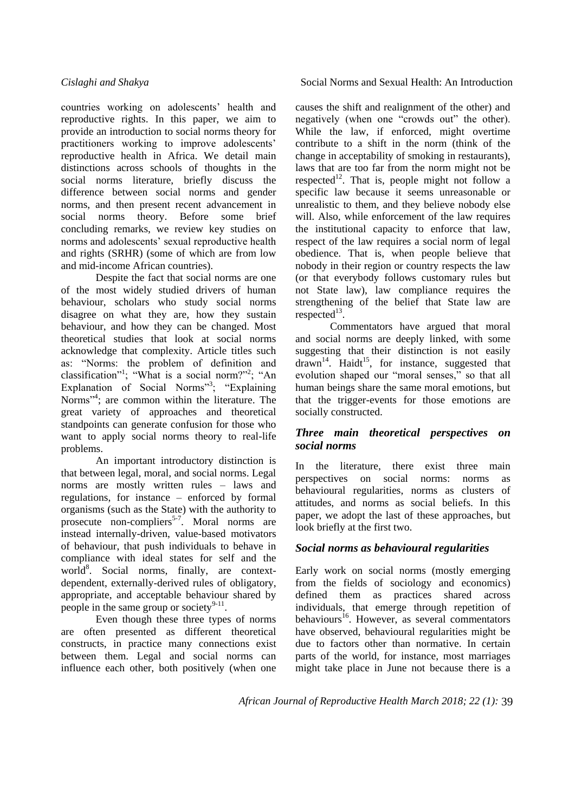countries working on adolescents' health and reproductive rights. In this paper, we aim to provide an introduction to social norms theory for practitioners working to improve adolescents' reproductive health in Africa. We detail main distinctions across schools of thoughts in the social norms literature, briefly discuss the difference between social norms and gender norms, and then present recent advancement in social norms theory. Before some brief concluding remarks, we review key studies on norms and adolescents' sexual reproductive health and rights (SRHR) (some of which are from low and mid-income African countries).

Despite the fact that social norms are one of the most widely studied drivers of human behaviour, scholars who study social norms disagree on what they are, how they sustain behaviour, and how they can be changed. Most theoretical studies that look at social norms acknowledge that complexity. Article titles such as: "Norms: the problem of definition and classification"<sup>1</sup>; "What is a social norm?"<sup>2</sup>; "An Explanation of Social Norms"<sup>3</sup>; "Explaining Norms"<sup>4</sup>; are common within the literature. The great variety of approaches and theoretical standpoints can generate confusion for those who want to apply social norms theory to real-life problems.

An important introductory distinction is that between legal, moral, and social norms. Legal norms are mostly written rules – laws and regulations, for instance – enforced by formal organisms (such as the State) with the authority to prosecute non-compliers<sup>5-7</sup>. Moral norms are instead internally-driven, value-based motivators of behaviour, that push individuals to behave in compliance with ideal states for self and the world<sup>8</sup>. Social norms, finally, are contextdependent, externally-derived rules of obligatory, appropriate, and acceptable behaviour shared by people in the same group or society $9-11$ .

Even though these three types of norms are often presented as different theoretical constructs, in practice many connections exist between them. Legal and social norms can influence each other, both positively (when one

*Cislaghi and Shakya* Social Norms and Sexual Health: An Introduction

causes the shift and realignment of the other) and negatively (when one "crowds out" the other). While the law, if enforced, might overtime contribute to a shift in the norm (think of the change in acceptability of smoking in restaurants), laws that are too far from the norm might not be respected<sup>12</sup>. That is, people might not follow a specific law because it seems unreasonable or unrealistic to them, and they believe nobody else will. Also, while enforcement of the law requires the institutional capacity to enforce that law, respect of the law requires a social norm of legal obedience. That is, when people believe that nobody in their region or country respects the law (or that everybody follows customary rules but not State law), law compliance requires the strengthening of the belief that State law are  $respected<sup>13</sup>$ .

Commentators have argued that moral and social norms are deeply linked, with some suggesting that their distinction is not easily  $\frac{12}{3}$  drawn<sup>14</sup>. Haidt<sup>15</sup>, for instance, suggested that evolution shaped our "moral senses," so that all human beings share the same moral emotions, but that the trigger-events for those emotions are socially constructed.

### *Three main theoretical perspectives on social norms*

In the literature, there exist three main perspectives on social norms: norms as behavioural regularities, norms as clusters of attitudes, and norms as social beliefs. In this paper, we adopt the last of these approaches, but look briefly at the first two.

# *Social norms as behavioural regularities*

Early work on social norms (mostly emerging from the fields of sociology and economics) defined them as practices shared across individuals, that emerge through repetition of behaviours<sup>16</sup>. However, as several commentators have observed, behavioural regularities might be due to factors other than normative. In certain parts of the world, for instance, most marriages might take place in June not because there is a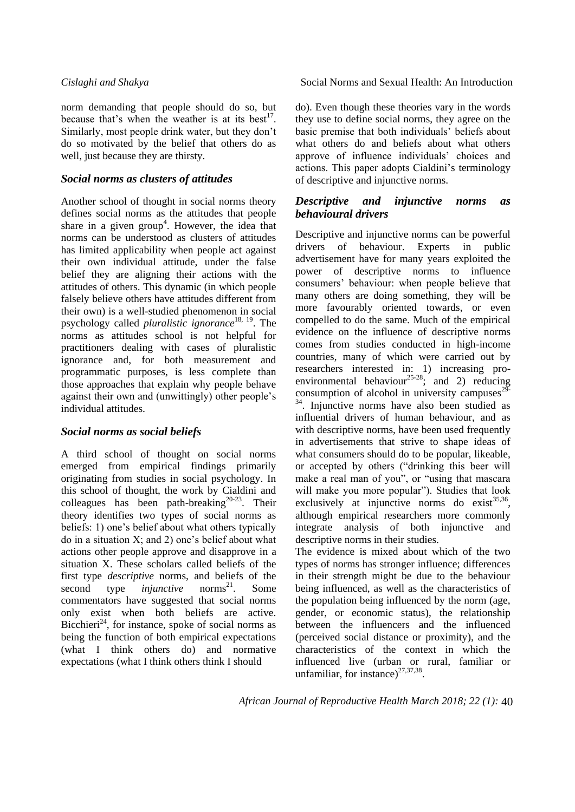norm demanding that people should do so, but because that's when the weather is at its best<sup>17</sup>. Similarly, most people drink water, but they don't do so motivated by the belief that others do as well, just because they are thirsty.

#### *Social norms as clusters of attitudes*

Another school of thought in social norms theory defines social norms as the attitudes that people share in a given group<sup>4</sup>. However, the idea that norms can be understood as clusters of attitudes has limited applicability when people act against their own individual attitude, under the false belief they are aligning their actions with the attitudes of others. This dynamic (in which people falsely believe others have attitudes different from their own) is a well-studied phenomenon in social psychology called *pluralistic ignorance*18, 19. The norms as attitudes school is not helpful for practitioners dealing with cases of pluralistic ignorance and, for both measurement and programmatic purposes, is less complete than those approaches that explain why people behave against their own and (unwittingly) other people's individual attitudes.

### *Social norms as social beliefs*

A third school of thought on social norms emerged from empirical findings primarily originating from studies in social psychology. In this school of thought, the work by Cialdini and colleagues has been path-breaking $20-23$ . Their theory identifies two types of social norms as beliefs: 1) one's belief about what others typically do in a situation X; and 2) one's belief about what actions other people approve and disapprove in a situation X. These scholars called beliefs of the first type *descriptive* norms, and beliefs of the second type *injunctive* norms<sup>21</sup>. Some commentators have suggested that social norms only exist when both beliefs are active. Bicchieri<sup>24</sup>, for instance, spoke of social norms as being the function of both empirical expectations (what I think others do) and normative expectations (what I think others think I should

*Cislaghi and Shakya* Social Norms and Sexual Health: An Introduction

do). Even though these theories vary in the words they use to define social norms, they agree on the basic premise that both individuals' beliefs about what others do and beliefs about what others approve of influence individuals' choices and actions. This paper adopts Cialdini's terminology of descriptive and injunctive norms.

#### *Descriptive and injunctive norms as behavioural drivers*

Descriptive and injunctive norms can be powerful drivers of behaviour. Experts in public advertisement have for many years exploited the power of descriptive norms to influence consumers' behaviour: when people believe that many others are doing something, they will be more favourably oriented towards, or even compelled to do the same. Much of the empirical evidence on the influence of descriptive norms comes from studies conducted in high-income countries, many of which were carried out by researchers interested in: 1) increasing proenvironmental behaviour<sup>25-28</sup>; and 2) reducing consumption of alcohol in university campuses $29$ -<sup>34</sup>. Injunctive norms have also been studied as influential drivers of human behaviour, and as with descriptive norms, have been used frequently in advertisements that strive to shape ideas of what consumers should do to be popular, likeable, or accepted by others ("drinking this beer will make a real man of you", or "using that mascara will make you more popular"). Studies that look exclusively at injunctive norms do exist $^{35,36}$ , although empirical researchers more commonly integrate analysis of both injunctive and descriptive norms in their studies.

The evidence is mixed about which of the two types of norms has stronger influence; differences in their strength might be due to the behaviour being influenced, as well as the characteristics of the population being influenced by the norm (age, gender, or economic status), the relationship between the influencers and the influenced (perceived social distance or proximity), and the characteristics of the context in which the influenced live (urban or rural, familiar or unfamiliar, for instance) $27,37,38$ .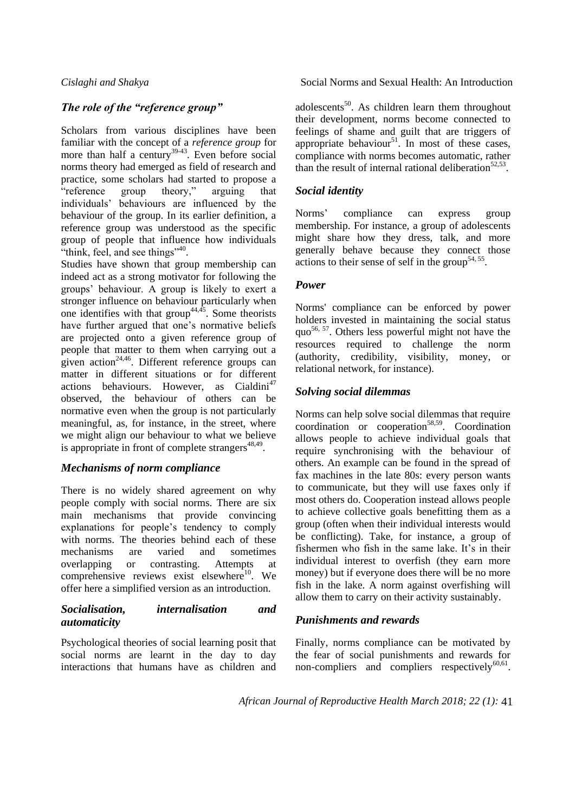### *The role of the "reference group"*

Scholars from various disciplines have been familiar with the concept of a *reference group* for more than half a century<sup>39-43</sup>. Even before social norms theory had emerged as field of research and practice, some scholars had started to propose a "reference group theory," arguing that individuals' behaviours are influenced by the behaviour of the group. In its earlier definition, a reference group was understood as the specific group of people that influence how individuals "think, feel, and see things"<sup>40</sup>.

Studies have shown that group membership can indeed act as a strong motivator for following the groups' behaviour. A group is likely to exert a stronger influence on behaviour particularly when one identifies with that group<sup>44,45</sup>. Some theorists have further argued that one's normative beliefs are projected onto a given reference group of people that matter to them when carrying out a given action<sup>24,46</sup>. Different reference groups can matter in different situations or for different  $\arctan$  behaviours. However, as Cialdini<sup>47</sup> observed, the behaviour of others can be normative even when the group is not particularly meaningful, as, for instance, in the street, where we might align our behaviour to what we believe is appropriate in front of complete strangers $48,49$ .

### *Mechanisms of norm compliance*

There is no widely shared agreement on why people comply with social norms. There are six main mechanisms that provide convincing explanations for people's tendency to comply with norms. The theories behind each of these mechanisms are varied and sometimes overlapping or contrasting. Attempts at comprehensive reviews exist elsewhere<sup>10</sup>. We offer here a simplified version as an introduction.

#### *Socialisation, internalisation and automaticity*

Psychological theories of social learning posit that social norms are learnt in the day to day interactions that humans have as children and

*Cislaghi and Shakya* Social Norms and Sexual Health: An Introduction

adolescents<sup>50</sup>. As children learn them throughout their development, norms become connected to feelings of shame and guilt that are triggers of appropriate behaviour<sup>51</sup>. In most of these cases, compliance with norms becomes automatic, rather than the result of internal rational deliberation<sup>52,53</sup>.

### *Social identity*

Norms' compliance can express group membership. For instance, a group of adolescents might share how they dress, talk, and more generally behave because they connect those actions to their sense of self in the group<sup>54, 55</sup>.

#### *Power*

Norms' compliance can be enforced by power holders invested in maintaining the social status quo<sup>56, 57</sup>. Others less powerful might not have the resources required to challenge the norm (authority, credibility, visibility, money, or relational network, for instance).

### *Solving social dilemmas*

Norms can help solve social dilemmas that require coordination or cooperation $58,59$ . Coordination allows people to achieve individual goals that require synchronising with the behaviour of others. An example can be found in the spread of fax machines in the late 80s: every person wants to communicate, but they will use faxes only if most others do. Cooperation instead allows people to achieve collective goals benefitting them as a group (often when their individual interests would be conflicting). Take, for instance, a group of fishermen who fish in the same lake. It's in their individual interest to overfish (they earn more money) but if everyone does there will be no more fish in the lake. A norm against overfishing will allow them to carry on their activity sustainably.

### *Punishments and rewards*

Finally, norms compliance can be motivated by the fear of social punishments and rewards for non-compliers and compliers respectively $^{60,61}$ .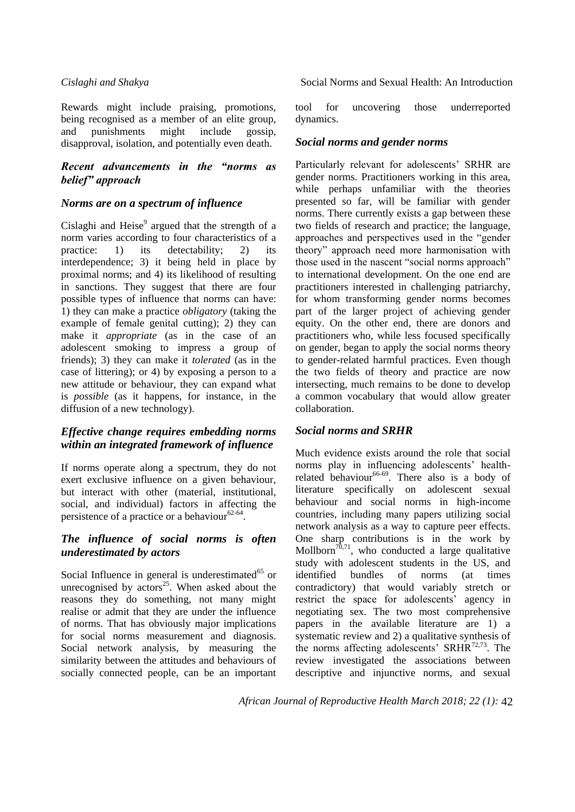Rewards might include praising, promotions, being recognised as a member of an elite group, and punishments might include gossip, disapproval, isolation, and potentially even death.

### *Recent advancements in the "norms as belief" approach*

#### *Norms are on a spectrum of influence*

Cislaghi and Heise $9$  argued that the strength of a norm varies according to four characteristics of a practice: 1) its detectability; 2) its interdependence; 3) it being held in place by proximal norms; and 4) its likelihood of resulting in sanctions. They suggest that there are four possible types of influence that norms can have: 1) they can make a practice *obligatory* (taking the example of female genital cutting); 2) they can make it *appropriate* (as in the case of an adolescent smoking to impress a group of friends); 3) they can make it *tolerated* (as in the case of littering); or 4) by exposing a person to a new attitude or behaviour, they can expand what is *possible* (as it happens, for instance, in the diffusion of a new technology).

### *Effective change requires embedding norms within an integrated framework of influence*

If norms operate along a spectrum, they do not exert exclusive influence on a given behaviour, but interact with other (material, institutional, social, and individual) factors in affecting the persistence of a practice or a behaviour  $62-64$ .

#### *The influence of social norms is often underestimated by actors*

Social Influence in general is underestimated $^{65}$  or unrecognised by  $\arccos^{25}$ . When asked about the reasons they do something, not many might realise or admit that they are under the influence of norms. That has obviously major implications for social norms measurement and diagnosis. Social network analysis, by measuring the similarity between the attitudes and behaviours of socially connected people, can be an important

*Cislaghi and Shakya* Social Norms and Sexual Health: An Introduction

tool for uncovering those underreported dynamics.

### *Social norms and gender norms*

Particularly relevant for adolescents' SRHR are gender norms. Practitioners working in this area, while perhaps unfamiliar with the theories presented so far, will be familiar with gender norms. There currently exists a gap between these two fields of research and practice; the language, approaches and perspectives used in the "gender" theory" approach need more harmonisation with those used in the nascent "social norms approach" to international development. On the one end are practitioners interested in challenging patriarchy, for whom transforming gender norms becomes part of the larger project of achieving gender equity. On the other end, there are donors and practitioners who, while less focused specifically on gender, began to apply the social norms theory to gender-related harmful practices. Even though the two fields of theory and practice are now intersecting, much remains to be done to develop a common vocabulary that would allow greater collaboration.

### *Social norms and SRHR*

Much evidence exists around the role that social norms play in influencing adolescents' healthrelated behaviour<sup>66-69</sup>. There also is a body of literature specifically on adolescent sexual behaviour and social norms in high-income countries, including many papers utilizing social network analysis as a way to capture peer effects. One sharp contributions is in the work by Mollborn<sup>70,71</sup>, who conducted a large qualitative study with adolescent students in the US, and<br>identified bundles of norms (at times identified bundles of norms (at times contradictory) that would variably stretch or restrict the space for adolescents' agency in negotiating sex. The two most comprehensive papers in the available literature are 1) a systematic review and 2) a qualitative synthesis of the norms affecting adolescents' SRHR $^{72,73}$ . The review investigated the associations between descriptive and injunctive norms, and sexual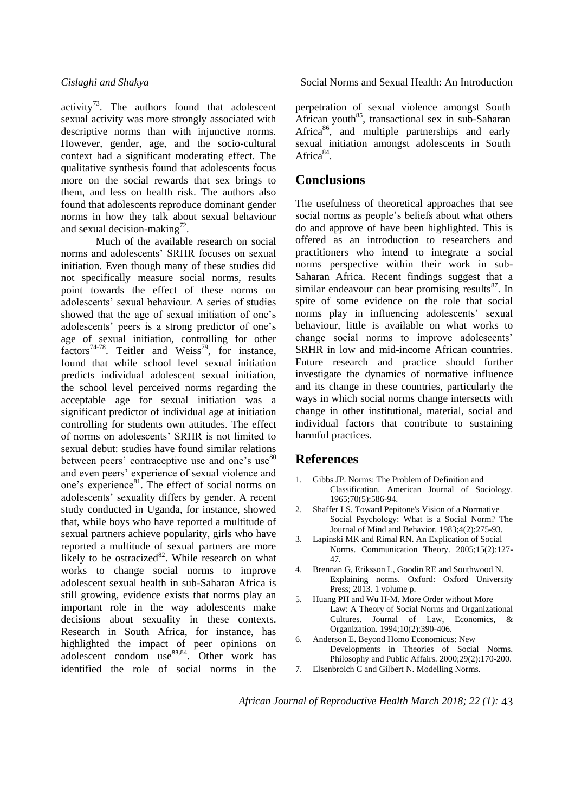activity<sup>73</sup>. The authors found that adolescent sexual activity was more strongly associated with descriptive norms than with injunctive norms. However, gender, age, and the socio-cultural context had a significant moderating effect. The qualitative synthesis found that adolescents focus more on the social rewards that sex brings to them, and less on health risk. The authors also found that adolescents reproduce dominant gender norms in how they talk about sexual behaviour and sexual decision-making<sup>72</sup>.

Much of the available research on social norms and adolescents' SRHR focuses on sexual initiation. Even though many of these studies did not specifically measure social norms, results point towards the effect of these norms on adolescents' sexual behaviour. A series of studies showed that the age of sexual initiation of one's adolescents' peers is a strong predictor of one's age of sexual initiation, controlling for other factors<sup>74-78</sup>. Teitler and Weiss<sup>79</sup>, for instance, found that while school level sexual initiation predicts individual adolescent sexual initiation, the school level perceived norms regarding the acceptable age for sexual initiation was a significant predictor of individual age at initiation controlling for students own attitudes. The effect of norms on adolescents' SRHR is not limited to sexual debut: studies have found similar relations between peers' contraceptive use and one's use<sup>80</sup> and even peers' experience of sexual violence and one's experience<sup>81</sup>. The effect of social norms on adolescents' sexuality differs by gender. A recent study conducted in Uganda, for instance, showed that, while boys who have reported a multitude of sexual partners achieve popularity, girls who have reported a multitude of sexual partners are more likely to be ostracized $82$ . While research on what works to change social norms to improve adolescent sexual health in sub-Saharan Africa is still growing, evidence exists that norms play an important role in the way adolescents make decisions about sexuality in these contexts. Research in South Africa, for instance, has highlighted the impact of peer opinions on adolescent condom use $83,84$ . Other work has identified the role of social norms in the

*Cislaghi and Shakya* Social Norms and Sexual Health: An Introduction

perpetration of sexual violence amongst South African youth<sup>85</sup>, transactional sex in sub-Saharan Africa<sup>86</sup>, and multiple partnerships and early sexual initiation amongst adolescents in South Africa<sup>84</sup>.

# **Conclusions**

The usefulness of theoretical approaches that see social norms as people's beliefs about what others do and approve of have been highlighted. This is offered as an introduction to researchers and practitioners who intend to integrate a social norms perspective within their work in sub-Saharan Africa. Recent findings suggest that a similar endeavour can bear promising results $^{87}$ . In spite of some evidence on the role that social norms play in influencing adolescents' sexual behaviour, little is available on what works to change social norms to improve adolescents' SRHR in low and mid-income African countries. Future research and practice should further investigate the dynamics of normative influence and its change in these countries, particularly the ways in which social norms change intersects with change in other institutional, material, social and individual factors that contribute to sustaining harmful practices.

### **References**

- 1. Gibbs JP. Norms: The Problem of Definition and Classification. American Journal of Sociology. 1965;70(5):586-94.
- 2. Shaffer LS. Toward Pepitone's Vision of a Normative Social Psychology: What is a Social Norm? The Journal of Mind and Behavior. 1983;4(2):275-93.
- 3. Lapinski MK and Rimal RN. An Explication of Social Norms. Communication Theory. 2005;15(2):127- 47.
- 4. Brennan G, Eriksson L, Goodin RE and Southwood N. Explaining norms. Oxford: Oxford University Press; 2013. 1 volume p.
- 5. Huang PH and Wu H-M. More Order without More Law: A Theory of Social Norms and Organizational Cultures. Journal of Law, Economics, & Organization. 1994;10(2):390-406.
- 6. Anderson E. Beyond Homo Economicus: New Developments in Theories of Social Norms. Philosophy and Public Affairs. 2000;29(2):170-200. 7. Elsenbroich C and Gilbert N. Modelling Norms.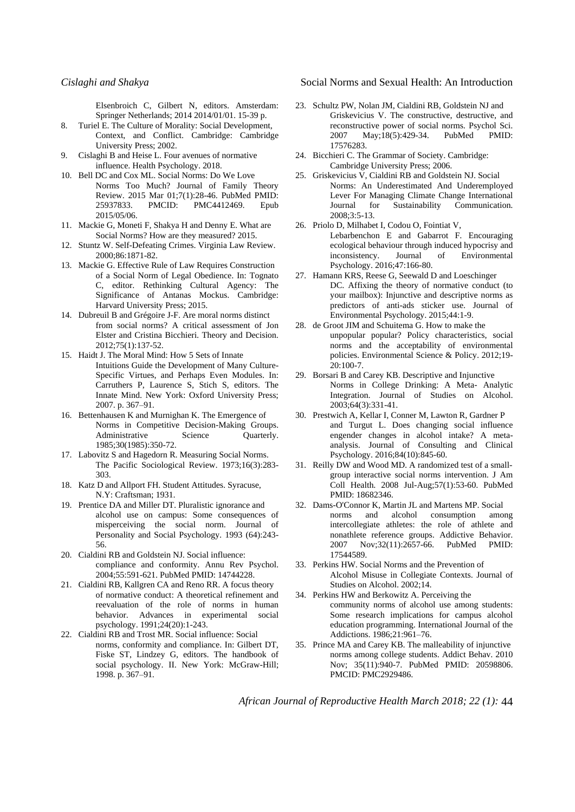Elsenbroich C, Gilbert N, editors. Amsterdam: Springer Netherlands; 2014 2014/01/01. 15-39 p.

- 8. Turiel E. The Culture of Morality: Social Development, Context, and Conflict. Cambridge: Cambridge University Press; 2002.
- 9. Cislaghi B and Heise L. Four avenues of normative influence. Health Psychology. 2018.
- 10. Bell DC and Cox ML. Social Norms: Do We Love Norms Too Much? Journal of Family Theory Review. 2015 Mar 01;7(1):28-46. PubMed PMID: 25937833. PMCID: PMC4412469. Epub 2015/05/06.
- 11. Mackie G, Moneti F, Shakya H and Denny E. What are Social Norms? How are they measured? 2015.
- 12. Stuntz W. Self-Defeating Crimes. Virginia Law Review. 2000;86:1871-82.
- 13. Mackie G. Effective Rule of Law Requires Construction of a Social Norm of Legal Obedience. In: Tognato C, editor. Rethinking Cultural Agency: The Significance of Antanas Mockus. Cambridge: Harvard University Press; 2015.
- 14. Dubreuil B and Grégoire J-F. Are moral norms distinct from social norms? A critical assessment of Jon Elster and Cristina Bicchieri. Theory and Decision. 2012;75(1):137-52.
- 15. Haidt J. The Moral Mind: How 5 Sets of Innate Intuitions Guide the Development of Many Culture-Specific Virtues, and Perhaps Even Modules. In: Carruthers P, Laurence S, Stich S, editors. The Innate Mind. New York: Oxford University Press; 2007. p. 367–91.
- 16. Bettenhausen K and Murnighan K. The Emergence of Norms in Competitive Decision-Making Groups. Administrative Science Quarterly. 1985;30(1985):350-72.
- 17. Labovitz S and Hagedorn R. Measuring Social Norms. The Pacific Sociological Review. 1973;16(3):283- 303.
- 18. Katz D and Allport FH. Student Attitudes. Syracuse, N.Y: Craftsman; 1931.
- 19. Prentice DA and Miller DT. Pluralistic ignorance and alcohol use on campus: Some consequences of misperceiving the social norm. Journal of Personality and Social Psychology. 1993 (64):243- 56.
- 20. Cialdini RB and Goldstein NJ. Social influence: compliance and conformity. Annu Rev Psychol. 2004;55:591-621. PubMed PMID: 14744228.
- 21. Cialdini RB, Kallgren CA and Reno RR. A focus theory of normative conduct: A theoretical refinement and reevaluation of the role of norms in human behavior. Advances in experimental social psychology. 1991;24(20):1-243.
- 22. Cialdini RB and Trost MR. Social influence: Social norms, conformity and compliance. In: Gilbert DT, Fiske ST, Lindzey G, editors. The handbook of social psychology. II. New York: McGraw-Hill; 1998. p. 367–91.

#### *Cislaghi and Shakya* Social Norms and Sexual Health: An Introduction

- 23. Schultz PW, Nolan JM, Cialdini RB, Goldstein NJ and Griskevicius V. The constructive, destructive, and reconstructive power of social norms. Psychol Sci. 2007 May;18(5):429-34. PubMed PMID: 17576283.
- 24. Bicchieri C. The Grammar of Society. Cambridge: Cambridge University Press; 2006.
- 25. Griskevicius V, Cialdini RB and Goldstein NJ. Social Norms: An Underestimated And Underemployed Lever For Managing Climate Change International Journal for Sustainability Communication. 2008;3:5-13.
- 26. Priolo D, Milhabet I, Codou O, Fointiat V, Lebarbenchon E and Gabarrot F. Encouraging ecological behaviour through induced hypocrisy and inconsistency. Journal of Environmental Psychology. 2016;47:166-80.
- 27. Hamann KRS, Reese G, Seewald D and Loeschinger DC. Affixing the theory of normative conduct (to your mailbox): Injunctive and descriptive norms as predictors of anti-ads sticker use. Journal of Environmental Psychology. 2015;44:1-9.
- 28. de Groot JIM and Schuitema G. How to make the unpopular popular? Policy characteristics, social norms and the acceptability of environmental policies. Environmental Science & Policy. 2012;19- 20:100-7.
- 29. Borsari B and Carey KB. Descriptive and Injunctive Norms in College Drinking: A Meta- Analytic Integration. Journal of Studies on Alcohol. 2003;64(3):331-41.
- 30. Prestwich A, Kellar I, Conner M, Lawton R, Gardner P and Turgut L. Does changing social influence engender changes in alcohol intake? A metaanalysis. Journal of Consulting and Clinical Psychology. 2016;84(10):845-60.
- 31. Reilly DW and Wood MD. A randomized test of a smallgroup interactive social norms intervention. J Am Coll Health. 2008 Jul-Aug;57(1):53-60. PubMed PMID: 18682346.
- 32. Dams-O'Connor K, Martin JL and Martens MP. Social norms and alcohol consumption among intercollegiate athletes: the role of athlete and nonathlete reference groups. Addictive Behavior. 2007 Nov;32(11):2657-66. PubMed PMID: 17544589.
- 33. Perkins HW. Social Norms and the Prevention of Alcohol Misuse in Collegiate Contexts. Journal of Studies on Alcohol. 2002;14.
- 34. Perkins HW and Berkowitz A. Perceiving the community norms of alcohol use among students: Some research implications for campus alcohol education programming. International Journal of the Addictions. 1986;21:961–76.
- 35. Prince MA and Carey KB. The malleability of injunctive norms among college students. Addict Behav. 2010 Nov; 35(11):940-7. PubMed PMID: 20598806. PMCID: PMC2929486.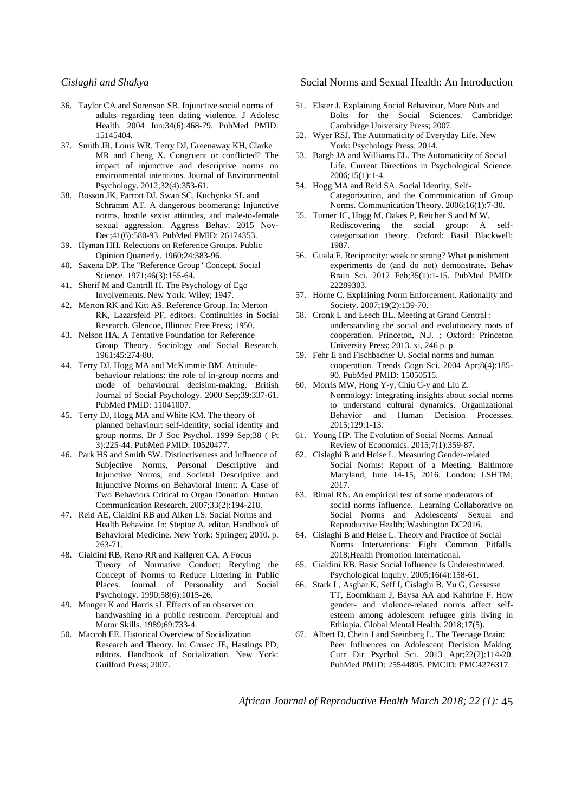- 36. Taylor CA and Sorenson SB. Injunctive social norms of adults regarding teen dating violence. J Adolesc Health. 2004 Jun;34(6):468-79. PubMed PMID: 15145404.
- 37. Smith JR, Louis WR, Terry DJ, Greenaway KH, Clarke MR and Cheng X. Congruent or conflicted? The impact of injunctive and descriptive norms on environmental intentions. Journal of Environmental Psychology. 2012;32(4):353-61.
- 38. Bosson JK, Parrott DJ, Swan SC, Kuchynka SL and Schramm AT. A dangerous boomerang: Injunctive norms, hostile sexist attitudes, and male-to-female sexual aggression. Aggress Behav. 2015 Nov-Dec;41(6):580-93. PubMed PMID: 26174353.
- 39. Hyman HH. Relections on Reference Groups. Public Opinion Quarterly. 1960;24:383-96.
- 40. Saxena DP. The "Reference Group" Concept. Social Science. 1971;46(3):155-64.
- 41. Sherif M and Cantrill H. The Psychology of Ego Involvements. New York: Wiley; 1947.
- 42. Merton RK and Kitt AS. Reference Group. In: Merton RK, Lazarsfeld PF, editors. Continuities in Social Research. Glencoe, Illinois: Free Press; 1950.
- 43. Nelson HA. A Tentative Foundation for Reference Group Theory. Sociology and Social Research. 1961;45:274-80.
- 44. Terry DJ, Hogg MA and McKimmie BM. Attitudebehaviour relations: the role of in-group norms and mode of behavioural decision-making. British Journal of Social Psychology. 2000 Sep;39:337-61. PubMed PMID: 11041007.
- 45. Terry DJ, Hogg MA and White KM. The theory of planned behaviour: self-identity, social identity and group norms. Br J Soc Psychol. 1999 Sep;38 ( Pt 3):225-44. PubMed PMID: 10520477.
- 46. Park HS and Smith SW. Distinctiveness and Influence of Subjective Norms, Personal Descriptive and Injunctive Norms, and Societal Descriptive and Injunctive Norms on Behavioral Intent: A Case of Two Behaviors Critical to Organ Donation. Human Communication Research. 2007;33(2):194-218.
- 47. Reid AE, Cialdini RB and Aiken LS. Social Norms and Health Behavior. In: Steptoe A, editor. Handbook of Behavioral Medicine. New York: Springer; 2010. p. 263-71.
- 48. Cialdini RB, Reno RR and Kallgren CA. A Focus Theory of Normative Conduct: Recyling the Concept of Norms to Reduce Littering in Public Places. Journal of Personality and Social Psychology. 1990;58(6):1015-26.
- 49. Munger K and Harris sJ. Effects of an observer on handwashing in a public restroom. Perceptual and Motor Skills. 1989;69:733-4.
- 50. Maccob EE. Historical Overview of Socialization Research and Theory. In: Grusec JE, Hastings PD, editors. Handbook of Socialization. New York: Guilford Press; 2007.

*Cislaghi and Shakya* Social Norms and Sexual Health: An Introduction

- 51. Elster J. Explaining Social Behaviour, More Nuts and Bolts for the Social Sciences. Cambridge: Cambridge University Press; 2007.
- 52. Wyer RSJ. The Automaticity of Everyday Life. New York: Psychology Press; 2014.
- 53. Bargh JA and Williams EL. The Automaticity of Social Life. Current Directions in Psychological Science. 2006;15(1):1-4.
- 54. Hogg MA and Reid SA. Social Identity, Self-Categorization, and the Communication of Group Norms. Communication Theory. 2006;16(1):7-30.
- 55. Turner JC, Hogg M, Oakes P, Reicher S and M W. Rediscovering the social group: A selfcategorisation theory. Oxford: Basil Blackwell; 1987.
- 56. Guala F. Reciprocity: weak or strong? What punishment experiments do (and do not) demonstrate. Behav Brain Sci. 2012 Feb;35(1):1-15. PubMed PMID: 22289303.
- 57. Horne C. Explaining Norm Enforcement. Rationality and Society. 2007;19(2):139-70.
- 58. Cronk L and Leech BL. Meeting at Grand Central : understanding the social and evolutionary roots of cooperation. Princeton, N.J. ; Oxford: Princeton University Press; 2013. xi, 246 p. p.
- 59. Fehr E and Fischbacher U. Social norms and human cooperation. Trends Cogn Sci. 2004 Apr;8(4):185- 90. PubMed PMID: 15050515.
- 60. Morris MW, Hong Y-y, Chiu C-y and Liu Z. Normology: Integrating insights about social norms to understand cultural dynamics. Organizational Behavior and Human Decision Processes. 2015;129:1-13.
- 61. Young HP. The Evolution of Social Norms. Annual Review of Economics. 2015;7(1):359-87.
- 62. Cislaghi B and Heise L. Measuring Gender-related Social Norms: Report of a Meeting, Baltimore Maryland, June 14-15, 2016. London: LSHTM; 2017.
- 63. Rimal RN. An empirical test of some moderators of social norms influence. Learning Collaborative on Social Norms and Adolescents' Sexual and Reproductive Health; Washington DC2016.
- 64. Cislaghi B and Heise L. Theory and Practice of Social Norms Interventions: Eight Common Pitfalls. 2018;Health Promotion International.
- 65. Cialdini RB. Basic Social Influence Is Underestimated. Psychological Inquiry. 2005;16(4):158-61.
- 66. Stark L, Asghar K, Seff I, Cislaghi B, Yu G, Gessesse TT, Eoomkham J, Baysa AA and Kahtrine F. How gender- and violence-related norms affect selfesteem among adolescent refugee girls living in Ethiopia. Global Mental Health. 2018;17(5).
- 67. Albert D, Chein J and Steinberg L. The Teenage Brain: Peer Influences on Adolescent Decision Making. Curr Dir Psychol Sci. 2013 Apr;22(2):114-20. PubMed PMID: 25544805. PMCID: PMC4276317.